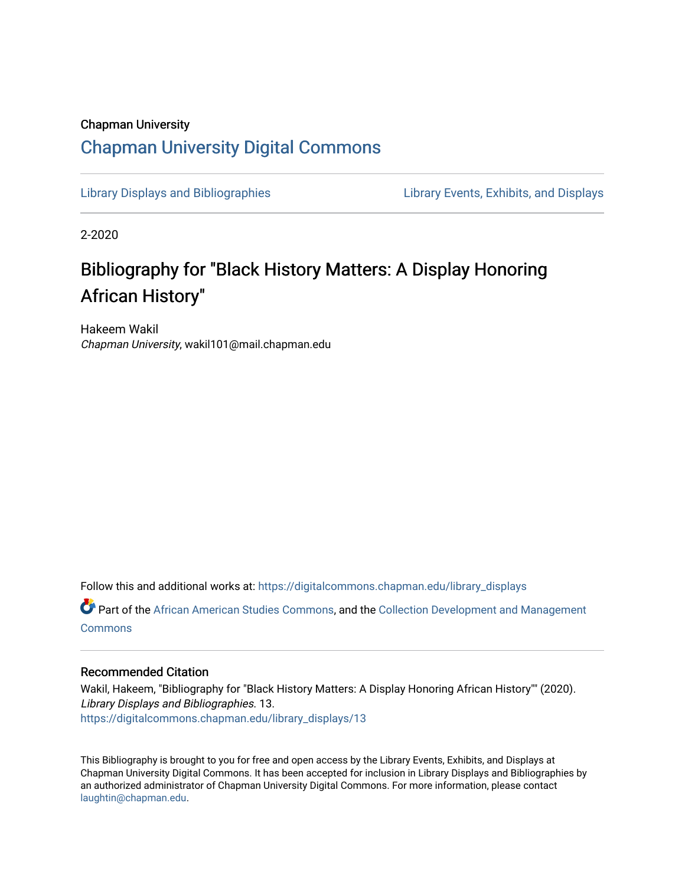# Chapman University [Chapman University Digital Commons](https://digitalcommons.chapman.edu/)

[Library Displays and Bibliographies](https://digitalcommons.chapman.edu/library_displays) [Library Events, Exhibits, and Displays](https://digitalcommons.chapman.edu/library_events) 

2-2020

# Bibliography for "Black History Matters: A Display Honoring African History"

Hakeem Wakil Chapman University, wakil101@mail.chapman.edu

Follow this and additional works at: [https://digitalcommons.chapman.edu/library\\_displays](https://digitalcommons.chapman.edu/library_displays?utm_source=digitalcommons.chapman.edu%2Flibrary_displays%2F13&utm_medium=PDF&utm_campaign=PDFCoverPages)

Part of the [African American Studies Commons,](http://network.bepress.com/hgg/discipline/567?utm_source=digitalcommons.chapman.edu%2Flibrary_displays%2F13&utm_medium=PDF&utm_campaign=PDFCoverPages) and the [Collection Development and Management](http://network.bepress.com/hgg/discipline/1271?utm_source=digitalcommons.chapman.edu%2Flibrary_displays%2F13&utm_medium=PDF&utm_campaign=PDFCoverPages)  **[Commons](http://network.bepress.com/hgg/discipline/1271?utm_source=digitalcommons.chapman.edu%2Flibrary_displays%2F13&utm_medium=PDF&utm_campaign=PDFCoverPages)** 

#### Recommended Citation

Wakil, Hakeem, "Bibliography for "Black History Matters: A Display Honoring African History"" (2020). Library Displays and Bibliographies. 13. [https://digitalcommons.chapman.edu/library\\_displays/13](https://digitalcommons.chapman.edu/library_displays/13?utm_source=digitalcommons.chapman.edu%2Flibrary_displays%2F13&utm_medium=PDF&utm_campaign=PDFCoverPages)

This Bibliography is brought to you for free and open access by the Library Events, Exhibits, and Displays at Chapman University Digital Commons. It has been accepted for inclusion in Library Displays and Bibliographies by an authorized administrator of Chapman University Digital Commons. For more information, please contact [laughtin@chapman.edu.](mailto:laughtin@chapman.edu)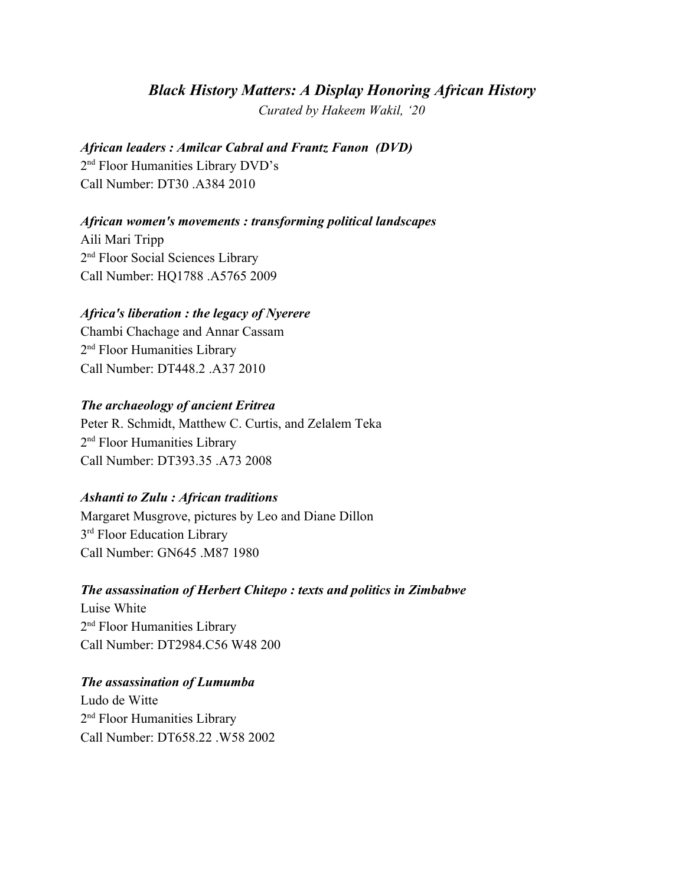### *Black History Matters: A Display Honoring African History*

*Curated by Hakeem Wakil, '20*

#### *African leaders : Amilcar Cabral and Frantz Fanon (DVD)*

2<sup>nd</sup> Floor Humanities Library DVD's Call Number: DT30 .A384 2010

#### *African women's movements : transforming political landscapes*

Aili Mari Tripp 2<sup>nd</sup> Floor Social Sciences Library Call Number: HQ1788 .A5765 2009

#### *Africa's liberation : the legacy of Nyerere*

Chambi Chachage and Annar Cassam 2<sup>nd</sup> Floor Humanities Library Call Number: DT448.2 .A37 2010

#### *The archaeology of ancient Eritrea*

Peter R. Schmidt, Matthew C. Curtis, and Zelalem Teka 2<sup>nd</sup> Floor Humanities Library Call Number: DT393.35 .A73 2008

#### *Ashanti to Zulu : African traditions*

Margaret Musgrove, pictures by Leo and Diane Dillon 3<sup>rd</sup> Floor Education Library Call Number: GN645 .M87 1980

#### *The assassination of Herbert Chitepo : texts and politics in Zimbabwe*

Luise White 2<sup>nd</sup> Floor Humanities Library Call Number: DT2984.C56 W48 200

#### *The assassination of Lumumba*

Ludo de Witte 2<sup>nd</sup> Floor Humanities Library Call Number: DT658.22 .W58 2002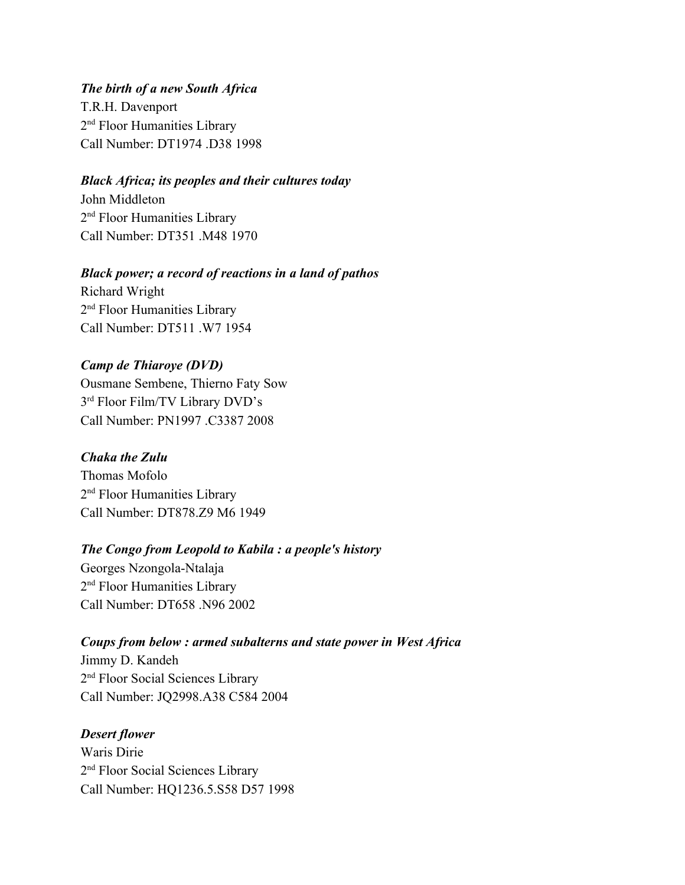*The birth of a new South Africa* T.R.H. Davenport 2<sup>nd</sup> Floor Humanities Library Call Number: DT1974 .D38 1998

#### *Black Africa; its peoples and their cultures today*

John Middleton 2<sup>nd</sup> Floor Humanities Library Call Number: DT351 M48 1970

## *Black power; a record of reactions in a land of pathos*

Richard Wright 2<sup>nd</sup> Floor Humanities Library Call Number: DT511 W7 1954

# *Camp de Thiaroye (DVD)*

Ousmane Sembene, Thierno Faty Sow 3<sup>rd</sup> Floor Film/TV Library DVD's Call Number: PN1997 .C3387 2008

#### *Chaka the Zulu*

Thomas Mofolo 2<sup>nd</sup> Floor Humanities Library Call Number: DT878.Z9 M6 1949

# *The Congo from Leopold to Kabila : a people's history*

Georges Nzongola-Ntalaja 2<sup>nd</sup> Floor Humanities Library Call Number: DT658 .N96 2002

# *Coups from below : armed subalterns and state power in West Africa*

Jimmy D. Kandeh 2<sup>nd</sup> Floor Social Sciences Library Call Number: JQ2998.A38 C584 2004

#### *Desert flower*

Waris Dirie 2<sup>nd</sup> Floor Social Sciences Library Call Number: HQ1236.5.S58 D57 1998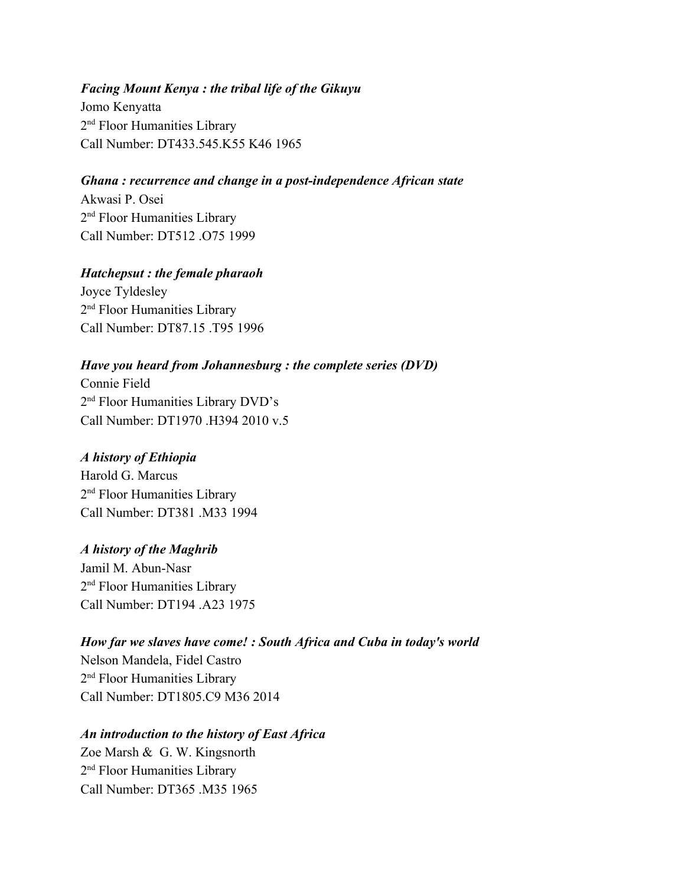#### *Facing Mount Kenya : the tribal life of the Gikuyu*

Jomo Kenyatta 2<sup>nd</sup> Floor Humanities Library Call Number: DT433.545.K55 K46 1965

#### *Ghana : recurrence and change in a post-independence African state*

Akwasi P. Osei 2<sup>nd</sup> Floor Humanities Library Call Number: DT512 075 1999

### *Hatchepsut : the female pharaoh*

Joyce Tyldesley 2<sup>nd</sup> Floor Humanities Library Call Number: DT87 15 T95 1996

# *Have you heard from Johannesburg : the complete series (DVD)*

Connie Field 2<sup>nd</sup> Floor Humanities Library DVD's Call Number: DT1970 .H394 2010 v.5

### *A history of Ethiopia*

Harold G. Marcus 2<sup>nd</sup> Floor Humanities Library Call Number: DT381 M33 1994

#### *A history of the Maghrib*

Jamil M. Abun-Nasr 2<sup>nd</sup> Floor Humanities Library Call Number: DT194 A23 1975

# *How far we slaves have come! : South Africa and Cuba in today's world* Nelson Mandela, Fidel Castro

2<sup>nd</sup> Floor Humanities Library Call Number: DT1805.C9 M36 2014

#### *An introduction to the history of East Africa*

Zoe Marsh & G. W. Kingsnorth 2<sup>nd</sup> Floor Humanities Library Call Number: DT365 M35 1965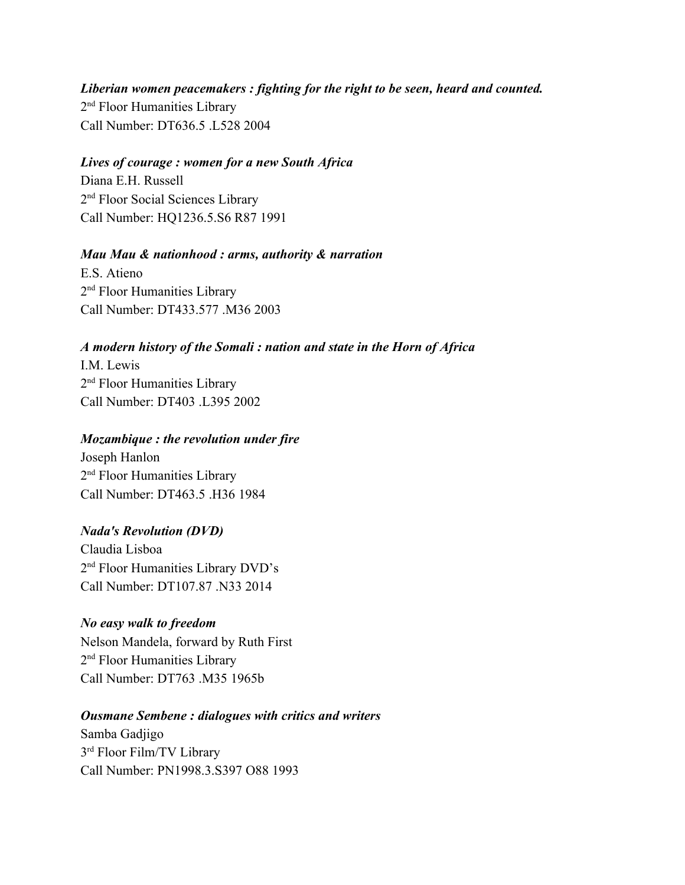*Liberian women peacemakers : fighting for the right to be seen, heard and counted.* 2<sup>nd</sup> Floor Humanities Library Call Number: DT636.5 .L528 2004

#### *Lives of courage : women for a new South Africa*

Diana E.H. Russell 2<sup>nd</sup> Floor Social Sciences Library Call Number: HQ1236.5.S6 R87 1991

#### *Mau Mau & nationhood : arms, authority & narration*

E.S. Atieno 2<sup>nd</sup> Floor Humanities Library Call Number: DT433.577 .M36 2003

#### *A modern history of the Somali : nation and state in the Horn of Africa*

I.M. Lewis 2<sup>nd</sup> Floor Humanities Library Call Number: DT403 1.395 2002

#### *Mozambique : the revolution under fire*

Joseph Hanlon 2<sup>nd</sup> Floor Humanities Library Call Number: DT463.5 .H36 1984

#### *Nada's Revolution (DVD)*

Claudia Lisboa 2<sup>nd</sup> Floor Humanities Library DVD's Call Number: DT107 87 N33 2014

#### *No easy walk to freedom*

Nelson Mandela, forward by Ruth First 2<sup>nd</sup> Floor Humanities Library Call Number: DT763 M35 1965b

# *Ousmane Sembene : dialogues with critics and writers*

Samba Gadjigo 3 rd Floor Film/TV Library Call Number: PN1998.3.S397 O88 1993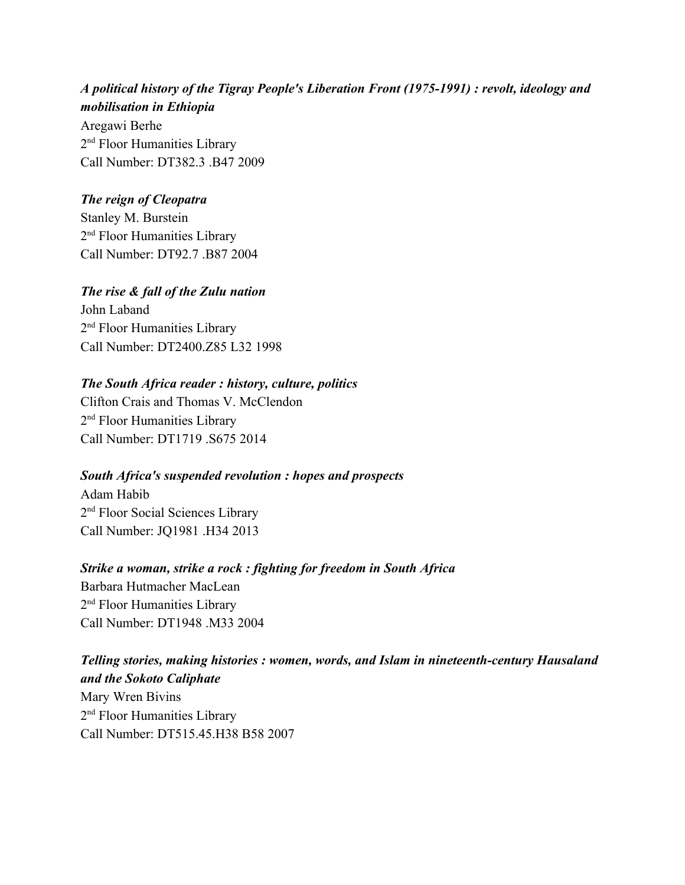*A political history of the Tigray People's Liberation Front (1975-1991) : revolt, ideology and mobilisation in Ethiopia* Aregawi Berhe 2<sup>nd</sup> Floor Humanities Library Call Number: DT382 3 B47 2009

#### *The reign of Cleopatra*

Stanley M. Burstein 2<sup>nd</sup> Floor Humanities Library Call Number: DT92.7 .B87 2004

#### *The rise & fall of the Zulu nation*

John Laband 2<sup>nd</sup> Floor Humanities Library Call Number: DT2400.Z85 L32 1998

#### *The South Africa reader : history, culture, politics*

Clifton Crais and Thomas V. McClendon 2<sup>nd</sup> Floor Humanities Library Call Number: DT1719 .S675 2014

#### *South Africa's suspended revolution : hopes and prospects*

Adam Habib 2<sup>nd</sup> Floor Social Sciences Library Call Number: JQ1981 .H34 2013

# *Strike a woman, strike a rock : fighting for freedom in South Africa*

Barbara Hutmacher MacLean 2<sup>nd</sup> Floor Humanities Library Call Number: DT1948 .M33 2004

# *Telling stories, making histories : women, words, and Islam in nineteenth-century Hausaland and the Sokoto Caliphate* Mary Wren Bivins 2<sup>nd</sup> Floor Humanities Library Call Number: DT515.45.H38 B58 2007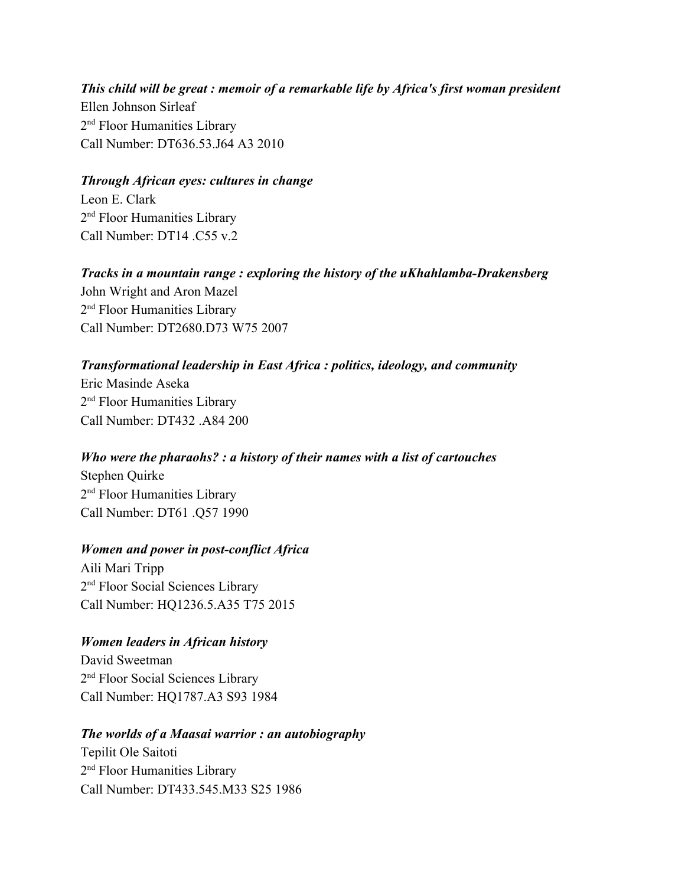*This child will be great : memoir of a remarkable life by Africa's first woman president* Ellen Johnson Sirleaf 2<sup>nd</sup> Floor Humanities Library Call Number: DT636.53.J64 A3 2010

#### *Through African eyes: cultures in change*

Leon E. Clark 2<sup>nd</sup> Floor Humanities Library Call Number:  $DT14$   $C55$  v 2

*Tracks in a mountain range : exploring the history of the uKhahlamba-Drakensberg* John Wright and Aron Mazel 2<sup>nd</sup> Floor Humanities Library Call Number: DT2680.D73 W75 2007

### *Transformational leadership in East Africa : politics, ideology, and community*

Eric Masinde Aseka 2<sup>nd</sup> Floor Humanities Library Call Number: DT432 A84 200

*Who were the pharaohs? : a history of their names with a list of cartouches* Stephen Quirke 2<sup>nd</sup> Floor Humanities Library Call Number: DT61 .Q57 1990

#### *Women and power in post-conflict Africa*

Aili Mari Tripp 2<sup>nd</sup> Floor Social Sciences Library Call Number: HQ1236.5.A35 T75 2015

# *Women leaders in African history*

David Sweetman 2<sup>nd</sup> Floor Social Sciences Library Call Number: HQ1787.A3 S93 1984

#### *The worlds of a Maasai warrior : an autobiography*

Tepilit Ole Saitoti 2<sup>nd</sup> Floor Humanities Library Call Number: DT433.545.M33 S25 1986